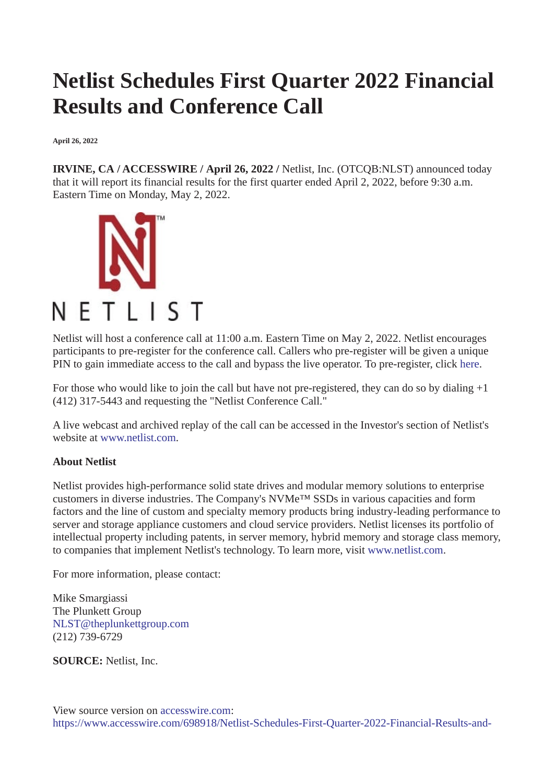## **Netlist Schedules First Quarter 2022 Financial Results and Conference Call**

**April 26, 2022**

**IRVINE, CA / ACCESSWIRE / April 26, 2022 /** Netlist, Inc. (OTCQB:NLST) announced today that it will report its financial results for the first quarter ended April 2, 2022, before 9:30 a.m. Eastern Time on Monday, May 2, 2022.



Netlist will host a conference call at 11:00 a.m. Eastern Time on May 2, 2022. Netlist encourages participants to pre-register for the conference call. Callers who pre-register will be given a unique PIN to gain immediate access to the call and bypass the live operator. To pre-register, click [here](https://pr.report/D8dvzfpA).

For those who would like to join the call but have not pre-registered, they can do so by dialing +1 (412) 317-5443 and requesting the "Netlist Conference Call."

A live webcast and archived replay of the call can be accessed in the Investor's section of Netlist's website at [www.netlist.com](https://pr.report/DOYSevuM)

## **About Netlist**

Netlist provides high-performance solid state drives and modular memory solutions to enterprise customers in diverse industries. The Company's NVMe™ SSDs in various capacities and form factors and the line of custom and specialty memory products bring industry-leading performance to server and storage appliance customers and cloud service providers. Netlist licenses its portfolio of intellectual property including patents, in server memory, hybrid memory and storage class memory, to companies that implement Netlist's technology. To learn more, visit [www.netlist.com](https://pr.report/kzpKUDlF).

For more information, please contact:

Mike Smargiassi The Plunkett Group [NLST@theplunkettgroup.com](mailto:NLST@theplunkettgroup.com) (212) 739-6729

**SOURCE:** Netlist, Inc.